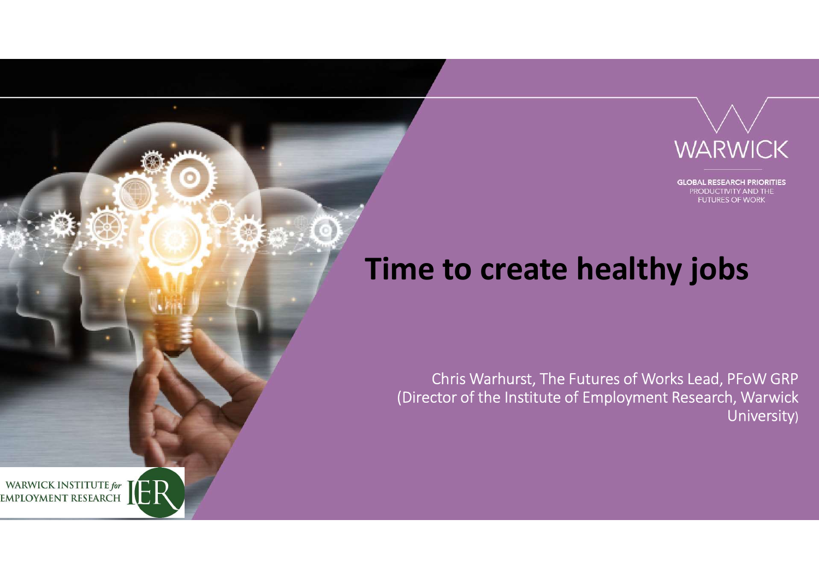

**GLOBAL RESEARCH PRIORITIES** PRODUCTIVITY AND THE **FUTURES OF WORK** 

## Time to create healthy jobs

Chris Warhurst, The Futures of Works Lead, PFoW GRP (Director of the Institute of Employment Research, Warwick University)

WARWICK INSTITUTE for  $\prod$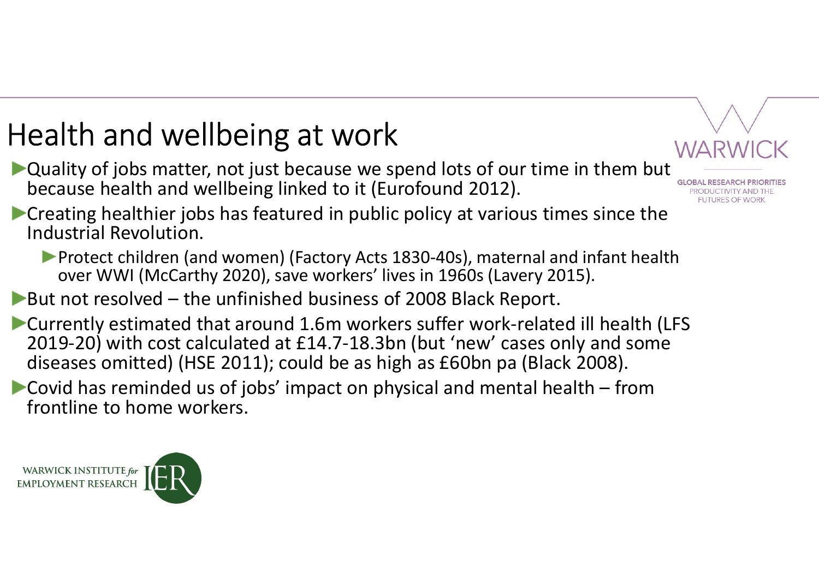## Health and wellbeing at work

- ▶ Quality of jobs matter, not just because we spend lots of our time in them but because health and wellbeing linked to it (Eurofound 2012).
- ealth and wellbeing at work<br>
Quality of jobs matter, not just because we spend lots of our time in t<br>
because health and wellbeing linked to it (Eurofound 2012).<br>
Creating healthier jobs has featured in public policy at va **Creating healthier jobs has featured in public policy at various times since the** Industrial Revolution.
	- **Protect children (and women) (Factory Acts 1830-40s), maternal and infant health** over WWI (McCarthy 2020), save workers' lives in 1960s (Lavery 2015).
- 
- ealth and wellbeing at work<br>Quality of jobs matter, not just because we spend lots of our time in them<br>because health and wellbeing linked to it (Eurofound 2012).<br>Creating healthier jobs has featured in public policy at va Currently estimated that around 1.6m workers suffer work-related ill health (LFS 2019-20) with cost calculated at £14.7-18.3bn (but 'new' cases only and some diseases omitted) (HSE 2011); could be as high as £60bn pa (Black 2008). Quality of jobs matter, not just because we spend lots of our time in them but because health and wellbeing linked to it (Eurofound 2012).<br>Creating healthier jobs has featured in public policy at various times since the I
- frontline to home workers.

WARWICK INSTITUTE for **EMPLOYMENT RESEARCH** 

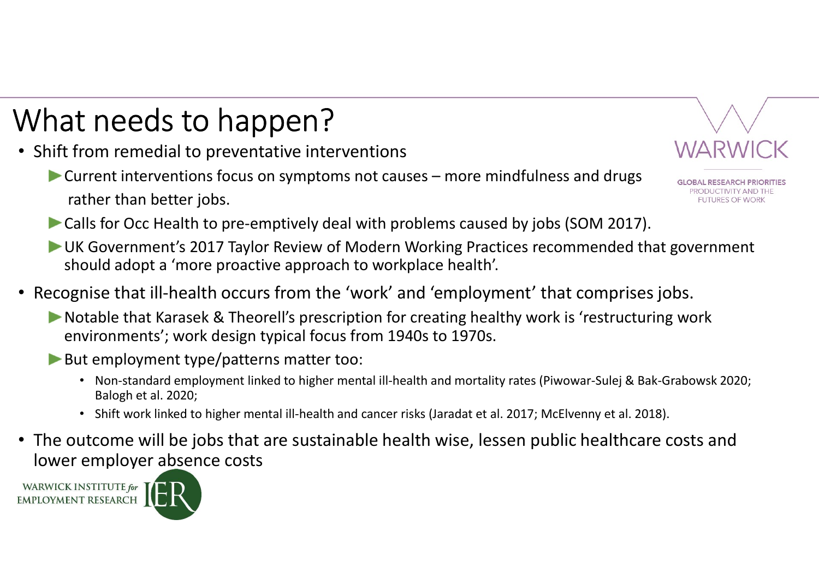## What needs to happen?

- Shift from remedial to preventative interventions
- The education of the property of Mappen and the preventions of the property of the preventions of causes more mindfulness and drugs<br>
Current interventions focus on symptoms not causes more mindfulness and drugs<br>
Calls rather than better jobs.



- **Example 12 and ST CO CALLS FOOT PROPERT PROPERT CONTROLLS FOR THE CONTROLLS CONTROLLS CONTROLLS CONTROLLS CONTROLLS CONTROLLS FOR THE CONTROLLS FOR CONTROLLS FOR CONTROLLS FOR CONTROLLS FOR CAUSE CAUSE CAUSE CAUSE CAUSE C** UK Government's 2017 Taylor Review of Modern Working Practices recommended that government should adopt a 'more proactive approach to workplace health'. **Example that Constrained** to prevent the interventions<br>
Current interventions focus on symptoms not causes – more mindfulness and drugs<br>
rather than better jobs.<br>
Calls for Occ Health to pre-emptively deal with problems c From remedial to preventative interventions<br>
• NARWICK<br>
• The than better jobs.<br>
• The than better jobs.<br>
• The than better jobs.<br>
• The than better jobs.<br>
• Sulls for Occ Health to pre-emptively deal with problems caused
- Recognise that ill-health occurs from the 'work' and 'employment' that comprises jobs.
	- environments'; work design typical focus from 1940s to 1970s.
	- But employment type/patterns matter too:
		- Balogh et al. 2020;
		-
- Frem the the total to pre-emptively deal with problems caused by jobs (SOM 2017).<br>
Ills for Occ Health to pre-emptively deal with problems caused by jobs (SOM 2017).<br>
Is for Occ Health to pre-emptively deal with problems c • The outcome will be jobs that are sustainable health wise, lessen public healthcare costs and lower employer absence costs